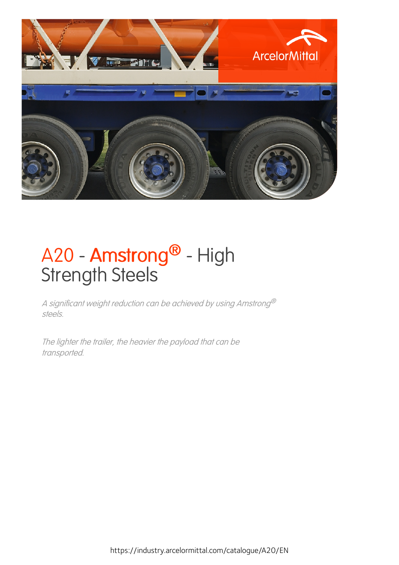

## A20 - Amstrong<sup>®</sup> - High Strength Steels

<sup>A</sup> significant weight reduction can be achieved by using Amstrong® steels.

The lighter the trailer, the heavier the payload that can be transported.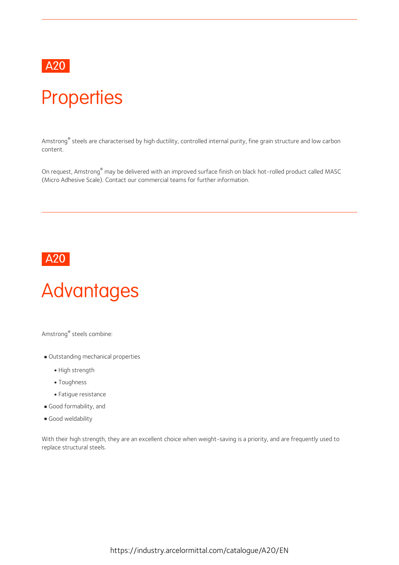

### **Properties**

Amstrong® steels are characterised by high ductility, controlled internal purity, fine grain structure and low carbon content.

On request, Amstrong ® may be delivered with an improved surface finish on black hot-rolled product called MASC (Micro Adhesive Scale). Contact our commercial teams for further information.



# Advantages

Amstrong ® steels combine:

- Outstanding mechanical properties
	- High strength
	- Toughness
	- Fatigue resistance
- Good formability, and
- Good weldability

With their high strength, they are an excellent choice when weight-saving is a priority, and are frequently used to replace structural steels.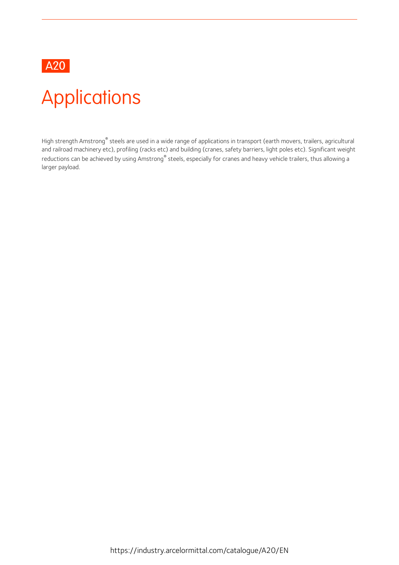

## Applications

High strength Amstrong® steels are used in a wide range of applications in transport (earth movers, trailers, agricultural and railroad machinery etc), profiling (racks etc) and building (cranes, safety barriers, light poles etc). Significant weight reductions can be achieved by using Amstrong® steels, especially for cranes and heavy vehicle trailers, thus allowing a larger payload.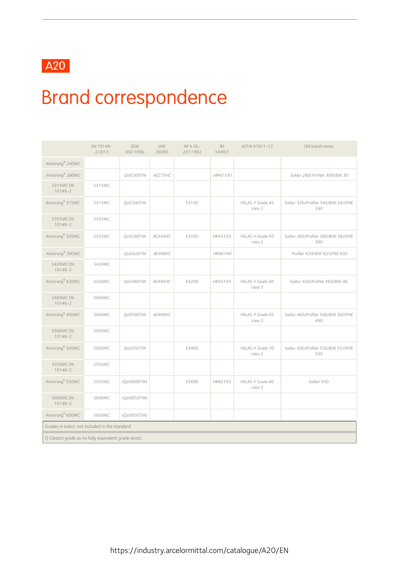

## Brand correspondence

|                                                       | EN 10149-<br>2:2013 | SEW<br>092:1990 | UNE<br>36090 | NF A 36-<br>231:1992 | <b>BS</b><br>1449/1 | ASTM A1011-12               | Old brand names                            |
|-------------------------------------------------------|---------------------|-----------------|--------------|----------------------|---------------------|-----------------------------|--------------------------------------------|
| Amstrong® 240MC                                       |                     |                 |              |                      |                     |                             |                                            |
| Amstrong® 280MC                                       |                     | QstE300TM       | AE275HC      |                      | HR40 F30            |                             | Soldur 280/ Profilar 300/ BSK 30           |
| S315MC EN<br>$10149 - 2$                              | S315MC              |                 |              |                      |                     |                             |                                            |
| Amstrong <sup>®</sup> 315MC                           | S315MC              | QstE340TM       |              | E315D                |                     | HSLAS-F Grade 45<br>class 2 | Soldur 320/Profilar 340/BSK 34/SPXE<br>340 |
| S355MC EN<br>$10149 - 2$                              | S355MC              |                 |              |                      |                     |                             |                                            |
| Amstrong <sup>®</sup> 355MC                           | S355MC              | QstE380TM       | AE340HC      | E355D                | HR43 F35            | HSLAS-F Grade 50<br>class 2 | Soldur 360/Profilar 380/BSK 38/SPXE<br>380 |
| Amstrong® 390MC                                       |                     | QstE420TM       | AE390HC      |                      | HR46 F40            |                             | Profilar 420/BSK 42/SPXE 420               |
| S420MC EN<br>$10149 - 2$                              | S420MC              |                 |              |                      |                     |                             |                                            |
| Amstrong <sup>®</sup> 420MC                           | S420MC              | QstE460TM       | AE440HC      | E420D                | <b>HR50 F45</b>     | HSLAS-F Grade 60<br>class 2 | Soldur 420/Profilar 460/BSK 46             |
| S460MC EN<br>$10149 - 2$                              | S460MC              |                 |              |                      |                     |                             |                                            |
| Amstrong <sup>®</sup> 460MC                           | S460MC              | QstE500TM       | AE490HC      |                      |                     | HSLAS-F Grade 65<br>class 2 | Soldur 460/Profilar 500/BSK 50/SPXE<br>480 |
| S500MC EN<br>10149-2                                  | S500MC              |                 |              |                      |                     |                             |                                            |
| Amstrong® 500MC                                       | S500MC              | QstE550TM       |              | E490D                |                     | HSLAS-F Grade 70<br>class 2 | Soldur 500/Profilar 550/BSK 55/SPXE<br>530 |
| S550MC EN<br>10149-2                                  | S550MC              |                 |              |                      |                     |                             |                                            |
| Amstrong® 550MC                                       | S550MC              | (QstE600TM)     |              | E560D                | HR60 F55            | HSLAS-F Grade 80<br>class 2 | Soldur 550                                 |
| S600MC EN<br>$10149 - 2$                              | S600MC              | (QstE650TM)     |              |                      |                     |                             |                                            |
| Amstrong <sup>®</sup> 600MC                           | S600MC              | (QstE650TM)     |              |                      |                     |                             |                                            |
| Grades in italics: not included in the standard       |                     |                 |              |                      |                     |                             |                                            |
| () Closest grade as no fully equivalent grade exists. |                     |                 |              |                      |                     |                             |                                            |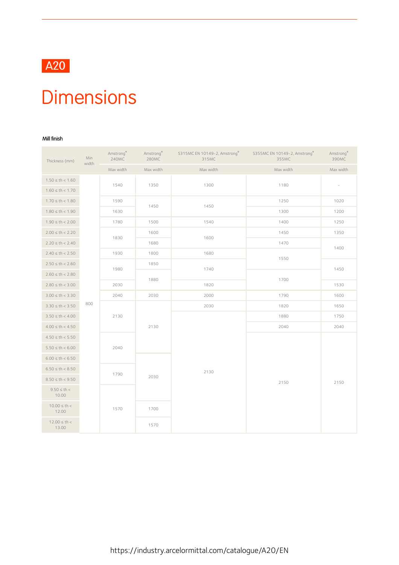

### **Dimensions**

#### Mill finish

| Thickness (mm)            | Min<br>width | Amstrong®<br>240MC | Amstrong®<br>280MC | S315MC EN 10149-2, Amstrong®<br>315MC | S355MC EN 10149-2, Amstrong®<br>355MC | Amstrong®<br>390MC       |
|---------------------------|--------------|--------------------|--------------------|---------------------------------------|---------------------------------------|--------------------------|
|                           |              | Max width          | Max width          | Max width                             | Max width                             | Max width                |
| $1.50 \le th < 1.60$      |              |                    |                    |                                       |                                       |                          |
| $1.60 \le th < 1.70$      |              | 1540               | 1350               | 1300                                  | 1180                                  | $\overline{\phantom{a}}$ |
| $1.70 \le th < 1.80$      |              | 1590               | 1450               | 1450                                  | 1250                                  | 1020                     |
| $1.80 \le th < 1.90$      |              | 1630               |                    |                                       | 1300                                  | 1200                     |
| $1.90 \le th < 2.00$      |              | 1780               | 1500               | 1540                                  | 1400                                  | 1250                     |
| $2.00 \le th < 2.20$      |              | 1830               | 1600               | 1600                                  | 1450                                  | 1350                     |
| $2.20 \le th < 2.40$      |              |                    | 1680               |                                       | 1470                                  | 1400                     |
| $2.40 \le th < 2.50$      |              | 1930               | 1800               | 1680                                  | 1550                                  |                          |
| $2.50 \le th < 2.60$      |              | 1980               | 1850               | 1740                                  |                                       | 1450                     |
| $2.60 \le th < 2.80$      |              |                    | 1880               |                                       | 1700                                  |                          |
| $2.80 \le th < 3.00$      |              | 2030               |                    | 1820                                  |                                       | 1530                     |
| $3.00 \le th < 3.30$      |              | 2040               | 2030               | 2000                                  | 1790                                  | 1600                     |
| $3.30 \le th < 3.50$      | 800          |                    |                    | 2030                                  | 1820                                  | 1650                     |
| $3.50 \le th < 4.00$      |              | 2130               |                    |                                       | 1880                                  | 1750                     |
| $4.00 \le th < 4.50$      |              |                    | 2130               |                                       | 2040                                  | 2040                     |
| $4.50 \le th < 5.50$      |              |                    |                    |                                       |                                       |                          |
| $5.50 \le th < 6.00$      |              | 2040               |                    |                                       |                                       |                          |
| $6.00 \le th < 6.50$      |              |                    |                    |                                       |                                       |                          |
| $6.50 \le th < 8.50$      |              | 1790               |                    | 2130                                  |                                       |                          |
| $8.50 \le th < 9.50$      |              |                    | 2030               |                                       | 2150                                  | 2150                     |
| $9.50 \le th <$<br>10.00  |              |                    |                    |                                       |                                       |                          |
| $10.00 \le th <$<br>12.00 |              | 1570               | 1700               |                                       |                                       |                          |
| $12.00 \le th <$<br>13.00 |              |                    | 1570               |                                       |                                       |                          |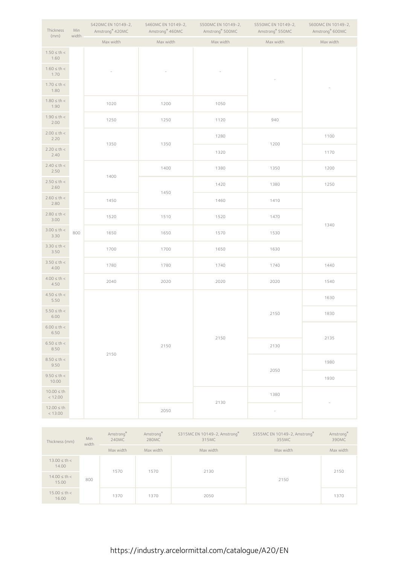| Thickness<br>(mm)          | Min<br>width | S420MC EN 10149-2,<br>Amstrong <sup>®</sup> 420MC | S460MC EN 10149-2,<br>Amstrong <sup>®</sup> 460MC | S500MC EN 10149-2,<br>Amstrong <sup>®</sup> 500MC | S550MC EN 10149-2,<br>Amstrong® 550MC | S600MC EN 10149-2,<br>Amstrong <sup>®</sup> 600MC |
|----------------------------|--------------|---------------------------------------------------|---------------------------------------------------|---------------------------------------------------|---------------------------------------|---------------------------------------------------|
|                            |              | Max width                                         | Max width                                         | Max width                                         | Max width                             | Max width                                         |
| $1.50 \le th <$<br>1.60    |              |                                                   |                                                   |                                                   |                                       |                                                   |
| $1.60 \le th <$<br>1.70    |              |                                                   |                                                   |                                                   |                                       |                                                   |
| $1.70 \le th <$<br>1.80    |              |                                                   |                                                   |                                                   |                                       |                                                   |
| $1.80 \le th <$<br>1.90    |              | 1020                                              | 1200                                              | 1050                                              |                                       |                                                   |
| $1.90 \le th <$<br>2.00    |              | 1250                                              | 1250                                              | 1120                                              | 940                                   |                                                   |
| $2.00 \le th <$<br>2.20    |              | 1350                                              | 1350                                              | 1280                                              | 1200                                  | 1100                                              |
| $2.20 \le th <$<br>2.40    |              |                                                   |                                                   | 1320                                              |                                       | 1170                                              |
| $2.40 \le th <$<br>2.50    |              | 1400                                              | 1400                                              | 1380                                              | 1350                                  | 1200                                              |
| $2.50 \le th <$<br>2.60    |              |                                                   | 1450                                              | 1420                                              | 1380                                  | 1250                                              |
| $2.60 \le th <$<br>2.80    |              | 1450                                              |                                                   | 1460                                              | 1410                                  |                                                   |
| $2.80 \le th <$<br>3.00    |              | 1520                                              | 1510                                              | 1520                                              | 1470                                  | 1340                                              |
| $3.00 \le th <$<br>3.30    | 800          | 1650                                              | 1650                                              | 1570                                              | 1530                                  |                                                   |
| $3.30 \le th <$<br>3.50    |              | 1700                                              | 1700                                              | 1650                                              | 1630                                  |                                                   |
| $3.50 \le th <$<br>4.00    |              | 1780                                              | 1780                                              | 1740                                              | 1740                                  | 1440                                              |
| $4.00 \le th <$<br>4.50    |              | 2040                                              | 2020                                              | 2020                                              | 2020                                  | 1540                                              |
| $4.50 \le th <$<br>5.50    |              |                                                   |                                                   |                                                   |                                       | 1630                                              |
| $5.50 \le th <$<br>6.00    |              |                                                   |                                                   |                                                   | 2150                                  | 1830                                              |
| $6.00 \leq th <$<br>6.50   |              |                                                   |                                                   | 2150                                              |                                       | 2135                                              |
| $6.50 \le th <$<br>8.50    |              | 2150                                              | 2150                                              |                                                   | 2130                                  |                                                   |
| $8.50 \le th <$<br>9.50    |              |                                                   |                                                   |                                                   | 2050                                  | 1980                                              |
| $9.50 \le th <$<br>10.00   |              |                                                   |                                                   |                                                   |                                       | 1930                                              |
| $10.00 \leq th$<br>< 12.00 |              |                                                   |                                                   | 2130                                              | 1380                                  |                                                   |
| $12.00 \leq th$<br>< 13.00 |              |                                                   | 2050                                              |                                                   |                                       |                                                   |

| Thickness (mm)            | Min<br>width | Amstrong®<br>240MC | Amstrong®<br>280MC | S315MC EN 10149-2, Amstrong®<br>315MC | S355MC EN 10149-2, Amstrong®<br>355MC | Amstrong®<br>390MC |
|---------------------------|--------------|--------------------|--------------------|---------------------------------------|---------------------------------------|--------------------|
|                           |              | Max width          | Max width          | Max width                             | Max width                             | Max width          |
| $13.00 \le th <$<br>14.00 |              |                    | 1570               | 2130                                  |                                       | 2150               |
| $14.00 \le th <$<br>15.00 | 1570<br>800  |                    |                    |                                       | 2150                                  |                    |
| $15.00 \le th <$<br>16.00 |              | 1370               | 1370               | 2050                                  |                                       | 1370               |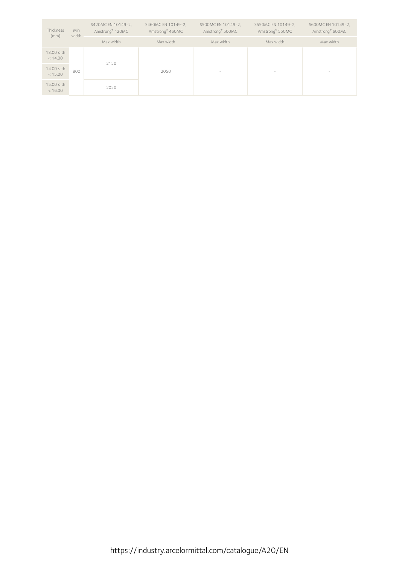| Thickness<br>(mm)          | Min<br>width | S420MC EN 10149-2,<br>Amstrong <sup>®</sup> 420MC | S460MC EN 10149-2,<br>Amstrong <sup>®</sup> 460MC | S500MC EN 10149-2,<br>Amstrong <sup>®</sup> 500MC | S550MC EN 10149-2,<br>Amstrong <sup>®</sup> 550MC | S600MC EN 10149-2,<br>Amstrong <sup>®</sup> 600MC |
|----------------------------|--------------|---------------------------------------------------|---------------------------------------------------|---------------------------------------------------|---------------------------------------------------|---------------------------------------------------|
|                            |              | Max width                                         | Max width                                         | Max width                                         | Max width                                         | Max width                                         |
| $13.00 \leq th$<br>< 14.00 |              | 2150                                              |                                                   |                                                   |                                                   |                                                   |
| $14.00 \leq th$<br>< 15.00 | 800          |                                                   | 2050                                              | $\overline{\phantom{a}}$                          | $\overline{\phantom{a}}$                          | $\hspace{1.0cm} - \hspace{1.0cm}$                 |
| $15.00 \leq th$<br>< 16.00 |              | 2050                                              |                                                   |                                                   |                                                   |                                                   |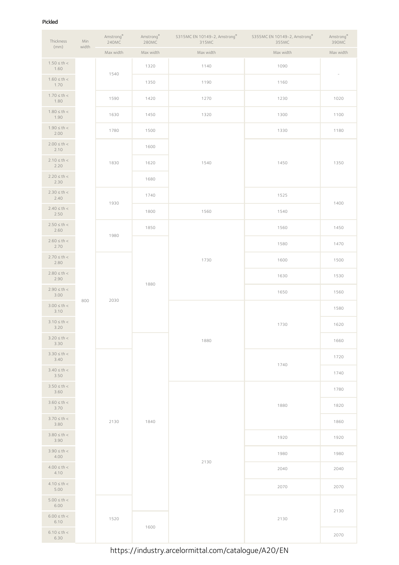#### Pickled

| Thickness                | Min   | $\mathsf{Amstrong}^\circ$<br>240MC | $\mathsf{Amstrong}^\circ$<br>280MC | S315MC EN 10149-2, Amstrong®<br>315MC | S355MC EN 10149-2, Amstrong®<br>355MC | Amstrong®<br>390MC |
|--------------------------|-------|------------------------------------|------------------------------------|---------------------------------------|---------------------------------------|--------------------|
| (mm)                     | width | Max width                          | Max width                          | Max width                             | Max width                             | Max width          |
| $1.50 \le th <$<br>1.60  |       | 1540                               | 1320                               | 1140                                  | 1090                                  |                    |
| $1.60 \le th <$<br>1.70  |       |                                    | 1350                               | 1190                                  | 1160                                  |                    |
| $1.70 \le th <$<br>1.80  |       | 1590                               | 1420                               | 1270                                  | 1230                                  | 1020               |
| $1.80 \le th <$<br>1.90  |       | 1630                               | 1450                               | 1320                                  | 1300                                  | 1100               |
| $1.90 \le th <$<br>2.00  |       | 1780                               | 1500                               |                                       | 1330                                  | 1180               |
| $2.00 \le th <$<br>2.10  |       |                                    | 1600                               |                                       |                                       |                    |
| $2.10 \le th <$<br>2.20  |       | 1830                               | 1620                               | 1540                                  | 1450                                  | 1350               |
| $2.20 \le th <$<br>2.30  |       |                                    | 1680                               |                                       |                                       |                    |
| $2.30 \le th <$<br>2.40  |       | 1930                               | 1740                               |                                       | 1525                                  | 1400               |
| $2.40 \le th <$<br>2.50  |       |                                    | 1800                               | 1560                                  | 1540                                  |                    |
| $2.50 \le th <$<br>2.60  |       | 1980                               | 1850                               |                                       | 1560                                  | 1450               |
| $2.60 \le th <$<br>2.70  |       |                                    |                                    |                                       | 1580                                  | 1470               |
| $2.70 \le th <$<br>2.80  |       |                                    |                                    | 1730                                  | 1600                                  | 1500               |
| $2.80 \le th <$<br>2.90  |       |                                    | 1880                               |                                       | 1630                                  | 1530               |
| $2.90 \le th <$<br>3.00  | 800   | 2030                               |                                    |                                       | 1650                                  | 1560               |
| $3.00 \le th <$<br>3.10  |       |                                    |                                    |                                       |                                       | 1580               |
| $3.10 \le th <$<br>3.20  |       |                                    |                                    |                                       | 1730                                  | 1620               |
| $3.20 \le th <$<br>3.30  |       |                                    |                                    | 1880                                  |                                       | 1660               |
| $3.30 \le th <$<br>3.40  |       |                                    |                                    |                                       | 1740                                  | 1720               |
| $3.40 \le th <$<br>3.50  |       |                                    |                                    |                                       |                                       | 1740               |
| $3.50 \le th <$<br>3.60  |       |                                    |                                    |                                       |                                       | 1780               |
| $3.60 \le th <$<br>3.70  |       |                                    |                                    |                                       | 1880                                  | 1820               |
| $3.70 \le th <$<br>3.80  |       | 2130                               | 1840                               |                                       |                                       | 1860               |
| $3.80 \le th <$<br>3.90  |       |                                    |                                    |                                       | 1920                                  | 1920               |
| $3.90 \le th <$<br>4.00  |       |                                    |                                    | 2130                                  | 1980                                  | 1980               |
| $4.00 \le th <$<br>4.10  |       |                                    |                                    |                                       | 2040                                  | 2040               |
| $4.10 \le th <$<br>5.00  |       |                                    |                                    |                                       | 2070                                  | 2070               |
| $5.00 \leq th <$<br>6.00 |       |                                    |                                    |                                       |                                       | 2130               |
| $6.00 \leq th <$<br>6.10 |       | 1520                               | 1600                               |                                       | 2130                                  |                    |
| $6.10 \le th <$<br>6.30  |       |                                    |                                    |                                       |                                       | 2070               |

https://industry.arcelormittal.com/catalogue/A20/EN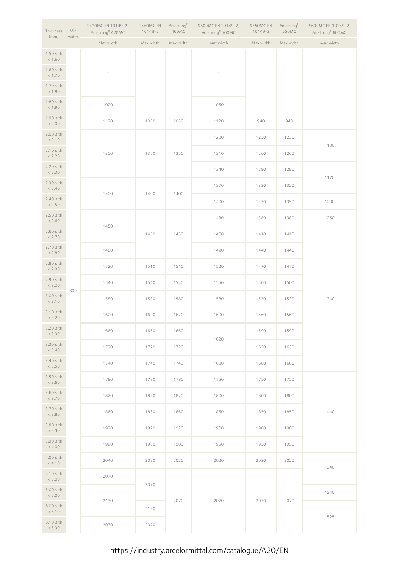| Thickness<br>(mm)        | Min<br>width | S420MC EN 10149-2,<br>Amstrong <sup>®</sup> 420MC | S460MC EN<br>10149-2 | Amstrong®<br>460MC       | S500MC EN 10149-2,<br>Amstrong® 500MC | S550MC EN<br>$10149 - 2$ | Amstrong®<br>550MC | S600MC EN 10149-2,<br>Amstrong® 600MC |
|--------------------------|--------------|---------------------------------------------------|----------------------|--------------------------|---------------------------------------|--------------------------|--------------------|---------------------------------------|
|                          |              | Max width                                         | Max width            | Max width                | Max width                             | Max width                | Max width          | Max width                             |
| $1.50 \leq th$<br>< 1.60 |              |                                                   |                      |                          |                                       |                          |                    |                                       |
| $1.60 \leq th$<br>< 1.70 |              |                                                   |                      | $\overline{\phantom{a}}$ |                                       |                          |                    |                                       |
| $1.70 \leq th$<br>< 1.80 |              |                                                   |                      |                          |                                       |                          |                    |                                       |
| $1.80 \leq th$<br>< 1.90 |              | 1020                                              |                      |                          | 1050                                  |                          |                    |                                       |
| $1.90 \leq th$<br>< 2.00 |              | 1120                                              | 1050                 | 1050                     | 1120                                  | 940                      | 940                |                                       |
| $2.00 \leq th$<br>< 2.10 |              |                                                   |                      |                          | 1280                                  | 1230                     | 1230               | 1100                                  |
| $2.10 \leq th$<br>< 2.20 |              | 1350                                              | 1350                 | 1350                     | 1310                                  | 1260                     | 1260               |                                       |
| $2.20 \le th$<br>< 2.30  |              |                                                   |                      |                          | 1340                                  | 1290                     | 1290               |                                       |
| $2.30 \leq th$<br>< 2.40 |              | 1400                                              | 1400                 | 1400                     | 1370                                  | 1320                     | 1320               | 1170                                  |
| $2.40 \leq th$<br>< 2.50 |              |                                                   |                      |                          | 1400                                  | 1350                     | 1350               | 1200                                  |
| $2.50 \leq th$<br>< 2.60 |              |                                                   |                      |                          | 1430                                  | 1380                     | 1380               | 1250                                  |
| $2.60 \leq th$<br>< 2.70 |              | 1450                                              | 1450                 | 1450                     | 1460                                  | 1410                     | 1410               |                                       |
| $2.70 \leq th$<br>< 2.80 |              | 1480                                              |                      |                          | 1490                                  | 1440                     | 1440               |                                       |
| $2.80 \leq th$<br>< 2.90 |              | 1520                                              | 1510                 | 1510                     | 1520                                  | 1470                     | 1470               |                                       |
| $2.90 \leq th$<br>< 3.00 |              | 1540                                              | 1540                 | 1540                     | 1550                                  | 1500                     | 1500               |                                       |
| $3.00 \leq th$<br>< 3.10 | 800          | 1580                                              | 1580                 | 1580                     | 1580                                  | 1530                     | 1530               | 1340                                  |
| $3.10 \leq th$<br>< 3.20 |              | 1620                                              | 1620                 | 1620                     | 1600                                  | 1560                     | 1560               |                                       |
| $3.20 \le th$<br>< 3.30  |              | 1660                                              | 1660                 | 1660                     |                                       | 1590                     | 1590               |                                       |
| $3.30 \leq th$<br>< 3.40 |              | 1720                                              | 1720                 | 1720                     | 1620                                  | 1630                     | 1630               |                                       |
| $3.40 \leq th$<br>< 3.50 |              | 1740                                              | 1740                 | 1740                     | 1680                                  | 1680                     | 1680               |                                       |
| $3.50 \leq th$<br>< 3.60 |              | 1780                                              | 1780                 | 1780                     | 1750                                  | 1750                     | 1750               |                                       |
| $3.60 \leq th$<br>< 3.70 |              | 1820                                              | 1820                 | 1820                     | 1800                                  | 1800                     | 1800               |                                       |
| $3.70 \leq th$<br>< 3.80 |              | 1860                                              | 1860                 | 1860                     | 1850                                  | 1850                     | 1850               | 1440                                  |
| $3.80 \leq th$<br>< 3.90 |              | 1920                                              | 1920                 | 1920                     | 1900                                  | 1900                     | 1900               |                                       |
| $3.90 \leq th$<br>< 4.00 |              | 1980                                              | 1980                 | 1980                     | 1950                                  | 1950                     | 1950               |                                       |
| $4.00 \leq th$<br>< 4.10 |              | 2040                                              | 2020                 | 2020                     | 2020                                  | 2020                     | 2020               | 1340                                  |
| $4.10 \leq th$<br>< 5.00 |              | 2070                                              |                      |                          |                                       |                          |                    |                                       |
| $5.00 \leq th$<br>< 6.00 |              |                                                   | 2070                 |                          |                                       |                          |                    | 1240                                  |
| $6.00 \leq th$<br>< 6.10 |              | 2130                                              | 2130                 | 2070                     | 2070                                  | 2070                     | 2070               |                                       |
| $6.10 \leq th$<br>< 6.30 |              | 2070                                              | 2070                 |                          |                                       |                          |                    | 1525                                  |

https://industry.arcelormittal.com/catalogue/A20/EN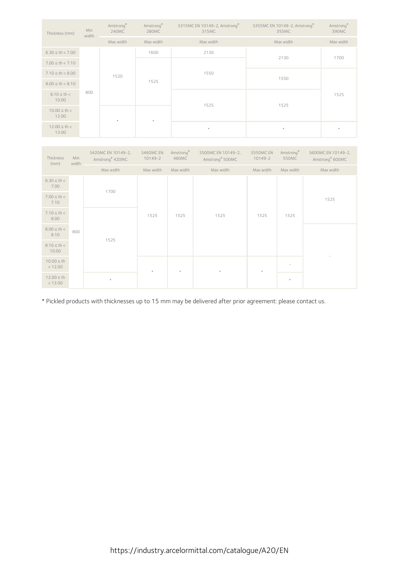| Thickness (mm)            | Min<br>width | Amstrong®<br>240MC | Amstrong®<br>280MC | S315MC EN 10149-2, Amstrong®<br>315MC | S355MC EN 10149-2, Amstrong®<br>355MC | Amstrong®<br>390MC |
|---------------------------|--------------|--------------------|--------------------|---------------------------------------|---------------------------------------|--------------------|
|                           |              | Max width          | Max width          | Max width                             | Max width                             | Max width          |
| $6.30 \le th < 7.00$      |              |                    | 1600               | 2130                                  | 2130                                  | 1700               |
| $7.00 \le th < 7.10$      |              |                    |                    |                                       |                                       |                    |
| $7.10 \le th < 8.00$      |              | 1520               | 1525               | 1550                                  | 1550                                  |                    |
| $8.00 \le th < 8.10$      |              |                    |                    |                                       |                                       |                    |
| $8.10 \le th <$<br>10.00  | 800          |                    |                    | 1525                                  | 1525                                  | 1525               |
| $10.00 \le th <$<br>12.00 |              | $\star$            | $\star$            |                                       |                                       |                    |
| $12.00 \le th <$<br>13.00 |              |                    |                    | $\star$                               | $\star$                               | $\star$            |

| Thickness<br>(mm)          | Min<br>width | S420MC EN 10149-2,<br>Amstrong <sup>®</sup> 420MC | S460MC EN<br>$10149 - 2$ | Amstrong®<br>460MC | S500MC EN 10149-2,<br>Amstrong <sup>®</sup> 500MC | S550MC EN<br>10149-2 | Amstrong®<br>550MC | S600MC EN 10149-2,<br>Amstrong® 600MC |
|----------------------------|--------------|---------------------------------------------------|--------------------------|--------------------|---------------------------------------------------|----------------------|--------------------|---------------------------------------|
|                            |              | Max width                                         | Max width                | Max width          | Max width                                         | Max width            | Max width          | Max width                             |
| $6.30 \le th <$<br>7.00    |              | 1700                                              |                          |                    |                                                   |                      |                    |                                       |
| $7.00 \le th <$<br>7.10    |              |                                                   |                          |                    |                                                   |                      |                    | 1525                                  |
| $7.10 \le th <$<br>8.00    |              |                                                   | 1525                     | 1525               | 1525                                              | 1525                 | 1525               |                                       |
| $8.00 \le th <$<br>8.10    | 800          |                                                   |                          |                    |                                                   |                      |                    |                                       |
| $8.10 \le th <$<br>10.00   |              | 1525                                              |                          |                    |                                                   |                      |                    |                                       |
| $10.00 \leq th$<br>< 12.00 |              |                                                   | $\star$                  | $\star$            | $\star$                                           | $\mathcal{R}$        |                    |                                       |
| $12.00 \leq th$<br>< 13.00 |              | $\star$                                           |                          |                    |                                                   |                      | $\star$            |                                       |

\* Pickled products with thicknesses up to 15 mm may be delivered after prior agreement: please contact us.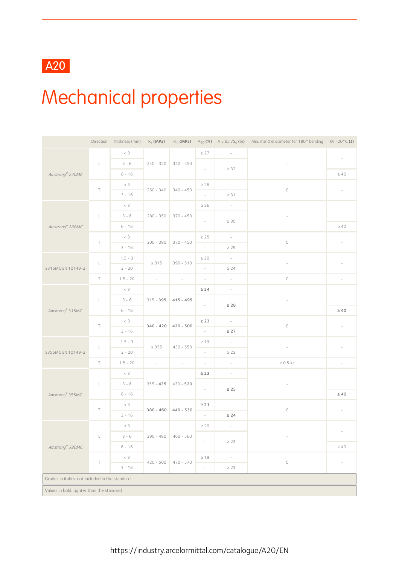### A20

## Mechanical properties

|                                                 |              | Direction Thickness (mm) |                          |             |                          |                          | R <sub>e</sub> (MPa) R <sub>m</sub> (MPa) A <sub>80</sub> (%) A 5.65 $\sqrt{S}$ (%) Min. mandrel diameter for 180° bending KV-20°C (J) |                          |  |  |
|-------------------------------------------------|--------------|--------------------------|--------------------------|-------------|--------------------------|--------------------------|----------------------------------------------------------------------------------------------------------------------------------------|--------------------------|--|--|
|                                                 |              | $<\,3$                   |                          |             | $\geq 27$                | $\overline{\phantom{a}}$ |                                                                                                                                        |                          |  |  |
|                                                 | $\mathsf{L}$ | $3 - 6$                  | $240 - 320$              | $340 - 450$ |                          |                          |                                                                                                                                        | $\overline{\phantom{a}}$ |  |  |
| Amstrong® 240MC                                 |              | $6 - 16$                 |                          |             | $\overline{\phantom{a}}$ | $\geq 32$                |                                                                                                                                        | $\geq 40$                |  |  |
|                                                 |              | $<$ 3                    |                          |             | $\geq 26$                | $\sim$                   |                                                                                                                                        |                          |  |  |
|                                                 | $\top$       | $3 - 16$                 | $260 - 340$              | $340 - 450$ | $\overline{\phantom{a}}$ | $\geq$ 31                | $\bigcirc$                                                                                                                             | $\overline{\phantom{a}}$ |  |  |
|                                                 |              | $<$ 3                    |                          |             | $\geq 26$                | $\overline{\phantom{a}}$ |                                                                                                                                        |                          |  |  |
|                                                 | $\mathsf{L}$ | $3 - 6$                  | $280 - 350$              | $370 - 450$ | $\sim$                   |                          | $\overline{\phantom{a}}$                                                                                                               | $\overline{\phantom{a}}$ |  |  |
| Amstrong <sup>®</sup> 280MC                     |              | $6 - 16$                 |                          |             |                          | $\geq 30$                |                                                                                                                                        | $\geq 40$                |  |  |
|                                                 | $\top$       | $<$ 3                    | $300 - 380$              |             | $\geq 25$                | $\sim$                   | $\circ$                                                                                                                                | $\overline{\phantom{a}}$ |  |  |
|                                                 |              | $3 - 16$                 |                          | $370 - 450$ | $\overline{\phantom{a}}$ | $\geq 29$                |                                                                                                                                        |                          |  |  |
|                                                 | $\mathsf L$  | $1.5 - 3$                | $\geq 315$               | $390 - 510$ | $\geq 20$                | $\sim$                   |                                                                                                                                        | $\overline{\phantom{a}}$ |  |  |
| S315MC EN 10149-2                               |              | $3 - 20$                 |                          |             | $\overline{\phantom{a}}$ | $\geq$ 24                |                                                                                                                                        |                          |  |  |
|                                                 | $\top$       | $1.5 - 20$               | $\sim$                   | $\sim$      | $\sim$                   | $\overline{\phantom{a}}$ | $\bigcirc$                                                                                                                             | $\overline{\phantom{a}}$ |  |  |
|                                                 |              | $<\,3$                   |                          |             | $\geq$ 24                | $\equiv$                 |                                                                                                                                        | $\overline{\phantom{a}}$ |  |  |
|                                                 | $\mathsf{L}$ | $3 - 6$                  | $315 - 395$              | $415 - 495$ | $\overline{\phantom{a}}$ | $\geq 28$                | $\overline{\phantom{a}}$                                                                                                               |                          |  |  |
| Amstrong <sup>®</sup> 315MC                     |              | $6 - 16$                 |                          |             |                          |                          |                                                                                                                                        | $\geq 40$                |  |  |
|                                                 | $\top$       | $<$ 3                    | $340 - 420$              | $420 - 500$ | $\geq 23$                | $\sim$                   | $\bigcirc$                                                                                                                             | $\overline{\phantom{a}}$ |  |  |
|                                                 |              | $3 - 16$                 |                          |             | $\sim$                   | $\geq 27$                |                                                                                                                                        |                          |  |  |
|                                                 | $\mathsf L$  | $1.5 - 3$                | $\geq 355$               | $430 - 550$ | $\geq 19$                | $\sim$                   | $\overline{\phantom{a}}$                                                                                                               | $\overline{\phantom{a}}$ |  |  |
| S355MC EN 10149-2                               |              | $3 - 20$                 |                          |             | $\overline{\phantom{a}}$ | $\geq 23$                |                                                                                                                                        |                          |  |  |
|                                                 | $\top$       | $1.5 - 20$               | $\overline{\phantom{a}}$ | $\sim$      | $\sim$                   | $\sim$                   | $\geq 0.5$ x t                                                                                                                         | $\overline{\phantom{a}}$ |  |  |
|                                                 |              | $<$ 3                    |                          |             | $\geq 22$                | $\overline{\phantom{a}}$ |                                                                                                                                        | $\overline{\phantom{a}}$ |  |  |
|                                                 | $\mathsf{L}$ | $3 - 6$                  | $355 - 435$              | $430 - 520$ | $\overline{\phantom{a}}$ | $\geq 25$                | $\overline{\phantom{a}}$                                                                                                               |                          |  |  |
| Amstrong <sup>®</sup> 355MC                     |              | $6 - 16$                 |                          |             |                          |                          |                                                                                                                                        | $\geq 40$                |  |  |
|                                                 | $\top$       | $<$ 3                    | $380 - 460$              | $440 - 530$ | $\geq 21$                | $\sim$                   | $\bigcirc$                                                                                                                             | $\overline{\phantom{a}}$ |  |  |
|                                                 |              | $3 - 16$                 |                          |             | $\sim$                   | $\geq 24$                |                                                                                                                                        |                          |  |  |
|                                                 |              | $<$ 3                    |                          |             | $\geq 20$                | $\overline{\phantom{a}}$ |                                                                                                                                        | $\overline{\phantom{a}}$ |  |  |
|                                                 | $\mathsf{L}$ | $3 - 6$                  | $390 - 480$ 460 - 560    |             |                          | $\geq 24$                |                                                                                                                                        |                          |  |  |
| Amstrong® 390MC                                 |              | $6 - 16$                 |                          |             |                          |                          |                                                                                                                                        | $\geq 40$                |  |  |
|                                                 | $\top$       | $<$ 3                    | $420 - 500$              | $470 - 570$ | $\geq 19$                | $\overline{\phantom{a}}$ | $\circlearrowright$                                                                                                                    |                          |  |  |
|                                                 |              | $3 - 16$                 |                          |             | $\overline{\phantom{a}}$ | $\geq$ 23                |                                                                                                                                        |                          |  |  |
| Grades in italics: not included in the standard |              |                          |                          |             |                          |                          |                                                                                                                                        |                          |  |  |
| Values in bold: tighter than the standard       |              |                          |                          |             |                          |                          |                                                                                                                                        |                          |  |  |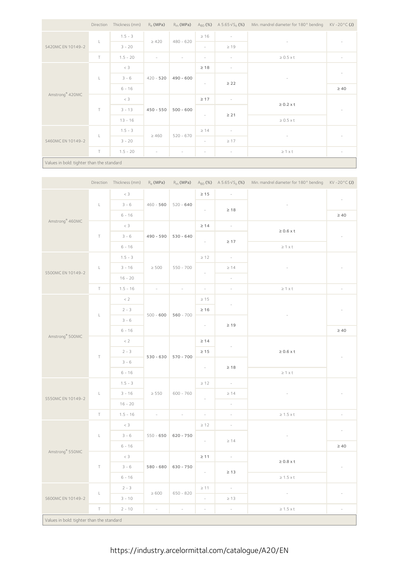|                             |                                           | Direction Thickness (mm) | $R_{\rho}$ (MPa)         |                          |                          |                          | $R_m$ (MPa) $A_{80}$ (%) $A 5.65\sqrt{S_0}$ (%) Min. mandrel diameter for 180° bending KV - 20°C (J) |                          |  |  |  |
|-----------------------------|-------------------------------------------|--------------------------|--------------------------|--------------------------|--------------------------|--------------------------|------------------------------------------------------------------------------------------------------|--------------------------|--|--|--|
|                             |                                           | $1.5 - 3$                |                          | $480 - 620$              | $\geq 16$                | $\sim$                   |                                                                                                      |                          |  |  |  |
| S420MC EN 10149-2           | ш                                         | $3 - 20$                 | $\geq 420$               |                          | $\sim$                   | $\geq 19$                |                                                                                                      | $\overline{\phantom{a}}$ |  |  |  |
|                             | $\top$                                    | $1.5 - 20$               |                          | $\overline{\phantom{a}}$ | $\overline{\phantom{a}}$ | $\overline{\phantom{a}}$ | $\geq 0.5 \times t$                                                                                  | $\overline{\phantom{a}}$ |  |  |  |
|                             |                                           | $<$ 3                    |                          |                          | $\geq 18$                | $\overline{\phantom{a}}$ |                                                                                                      |                          |  |  |  |
| Amstrong <sup>®</sup> 420MC | L                                         | $3 - 6$                  |                          | $420 - 520$ 490 - 600    | $\overline{\phantom{a}}$ |                          | $\overline{\phantom{0}}$                                                                             | $\overline{\phantom{a}}$ |  |  |  |
|                             |                                           | $6 - 16$                 |                          |                          |                          | $\geq$ 22                |                                                                                                      | $\geq 40$                |  |  |  |
|                             |                                           | $<\,3$                   |                          |                          | $\geq 17$                | $\overline{\phantom{a}}$ | $\geq 0.2$ x t                                                                                       |                          |  |  |  |
|                             | $\top$                                    | $3 - 13$                 |                          | $450 - 550$ 500 - 600    |                          | $\geq 21$                |                                                                                                      | $\overline{\phantom{a}}$ |  |  |  |
|                             |                                           | $13 - 16$                |                          |                          | $\sim$                   |                          | $\geq 0.5 \times t$                                                                                  |                          |  |  |  |
|                             |                                           | $1.5 - 3$                | $\geq 460$               | $520 - 670$              | $\geq 14$                | $\overline{\phantom{a}}$ | $\overline{\phantom{a}}$                                                                             |                          |  |  |  |
| S460MC EN 10149-2           | L                                         | $3 - 20$                 |                          |                          | $\sim$                   | $\geq 17$                |                                                                                                      | $\overline{\phantom{a}}$ |  |  |  |
|                             | $\top$                                    | $1.5 - 20$               | $\overline{\phantom{a}}$ | $\overline{\phantom{a}}$ | $\sim$                   | $\sim$                   | $\geq 1 \times t$                                                                                    | $\overline{\phantom{a}}$ |  |  |  |
|                             | Values in bold: tighter than the standard |                          |                          |                          |                          |                          |                                                                                                      |                          |  |  |  |

|                                           |              | Direction Thickness (mm) | $R_e$ (MPa)              |                          |                               |                          | R <sub>m</sub> (MPa) A <sub>80</sub> (%) A 5.65 $\sqrt{S_0}$ (%) Min. mandrel diameter for 180° bending KV-20°C (J) |                          |
|-------------------------------------------|--------------|--------------------------|--------------------------|--------------------------|-------------------------------|--------------------------|---------------------------------------------------------------------------------------------------------------------|--------------------------|
|                                           |              | $<\,3$                   |                          |                          | $\geq 15$                     | $\sim$                   |                                                                                                                     |                          |
|                                           | $\mathsf{L}$ | $3 - 6$                  | $460 - 560$              | $520 - 640$              |                               |                          |                                                                                                                     | $\overline{\phantom{a}}$ |
|                                           |              | $6 - 16$                 |                          |                          | $\omega_{\rm c}$<br>$\geq 18$ |                          |                                                                                                                     | $\geq 40$                |
| Amstrong <sup>®</sup> 460MC               |              | $< 3$                    |                          |                          | $\geq 14$                     | $\sim$                   |                                                                                                                     |                          |
|                                           | $\top$       | $3 - 6$                  | 490 - 590                | $530 - 640$              |                               |                          | $\geq 0.6$ x t                                                                                                      | $\overline{\phantom{a}}$ |
|                                           |              | $6 - 16$                 |                          |                          | $\overline{\phantom{a}}$      | $\geq 17$                | $\geq$ 1 x t                                                                                                        |                          |
|                                           |              | $1.5 - 3$                |                          |                          | $\geq 12$                     | $\sim$                   |                                                                                                                     |                          |
|                                           | $\mathsf{L}$ | $3 - 16$                 | $\geq 500$               | $550 - 700$              |                               | $\geq 14$                | $\bar{a}$                                                                                                           | $\overline{\phantom{a}}$ |
| S500MC EN 10149-2                         |              | $16 - 20$                |                          |                          | $\overline{\phantom{a}}$      | $\omega$                 |                                                                                                                     |                          |
|                                           | $\top$       | $1.5 - 16$               | $\overline{\phantom{a}}$ | $\overline{\phantom{a}}$ | $\overline{\phantom{a}}$      | $\overline{\phantom{a}}$ | $\geq$ 1 x t                                                                                                        | $\overline{\phantom{a}}$ |
|                                           |              | < 2                      |                          |                          | $\geq 15$                     |                          |                                                                                                                     |                          |
|                                           |              | $2 - 3$                  |                          |                          | $\geq 16$                     | $\overline{\phantom{a}}$ |                                                                                                                     |                          |
| Amstrong <sup>®</sup> 500MC               | $\mathsf{L}$ | $3 - 6$                  | $500 - 600$              | $560 - 700$              |                               |                          | $\overline{\phantom{a}}$                                                                                            |                          |
|                                           |              | $6 - 16$                 |                          |                          | $\sim$                        | $\geq 19$                |                                                                                                                     | $\geq 40$                |
|                                           |              | $< 2$                    |                          | $530 - 630$ 570 - 700    | $\geq 14$                     |                          |                                                                                                                     |                          |
|                                           |              | $2 - 3$                  |                          |                          | $\geq 15$                     | $\overline{\phantom{a}}$ | $\geq 0.6$ x t                                                                                                      |                          |
|                                           | $\top$       | $3 - 6$                  |                          |                          |                               |                          |                                                                                                                     | $\overline{\phantom{a}}$ |
|                                           |              | $6 - 16$                 |                          |                          | $\sim$                        | $\geq 18$                | $\geq$ 1 $\times$ t                                                                                                 |                          |
|                                           |              | $1.5 - 3$                |                          | $600 - 760$              | $\geq 12$                     | $\sim$                   |                                                                                                                     |                          |
|                                           | $\mathsf L$  | $3 - 16$                 | $\geq 550$               |                          |                               | $\geq 14$                |                                                                                                                     | $\overline{\phantom{a}}$ |
| S550MC EN 10149-2                         |              | $16 - 20$                |                          |                          | $\overline{\phantom{a}}$      | $\overline{\phantom{a}}$ |                                                                                                                     |                          |
|                                           | $\top$       | $1.5 - 16$               | $\sim$                   | $\overline{\phantom{a}}$ | $\overline{\phantom{a}}$      | $\overline{\phantom{a}}$ | $\geq$ 1.5 x t                                                                                                      | $\overline{\phantom{a}}$ |
|                                           |              | $<$ 3                    |                          |                          | $\geq 12$                     | $\overline{\phantom{a}}$ |                                                                                                                     |                          |
|                                           | $\mathsf L$  | $3 - 6$                  | $550 - 650$              | $620 - 750$              |                               |                          | $\overline{\phantom{a}}$                                                                                            | $\overline{\phantom{a}}$ |
|                                           |              | $6 - 16$                 |                          |                          | $\sim$                        | $\geq 14$                |                                                                                                                     | $\geq 40$                |
| Amstrong® 550MC                           |              | $< 3$                    |                          |                          | $\geq 11$                     | $\sim$                   |                                                                                                                     |                          |
|                                           | $\top$       | $3 - 6$                  |                          | $580 - 680$ 630 - 750    |                               |                          | $\geq 0.8$ x t                                                                                                      | $\overline{\phantom{a}}$ |
|                                           |              | $6 - 16$                 |                          |                          | $\sim$                        | $\geq 13$                | $\geq$ 1.5 x t                                                                                                      |                          |
|                                           |              | $2 - 3$                  |                          |                          | $\geq 11$                     | $\sim$                   |                                                                                                                     |                          |
| S600MC EN 10149-2                         | $\mathsf L$  | $3 - 10$                 | $\geq 600$               | $650 - 820$              | $\sim$                        | $\geq 13$                | $\overline{\phantom{a}}$                                                                                            | $\overline{\phantom{a}}$ |
|                                           | $\top$       | $2 - 10$                 | $\mathcal{L}$            | $\omega$                 | $\omega$                      | $\omega$                 | $\geq$ 1.5 x t                                                                                                      | $\overline{\phantom{a}}$ |
| Values in bold: tighter than the standard |              |                          |                          |                          |                               |                          |                                                                                                                     |                          |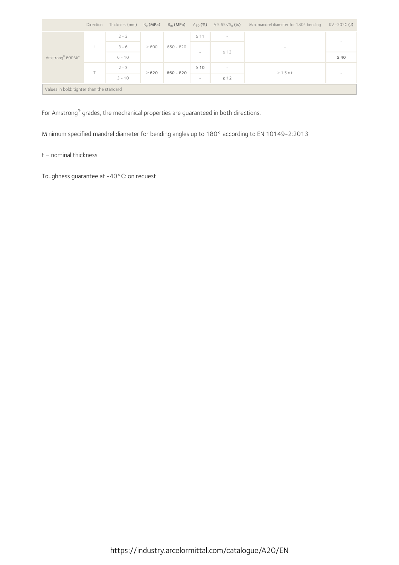|                                           | Direction | Thickness (mm) $R_e$ (MPa) |            |             |                          | $R_m(MPa)$ $A_{80}(%)$ $A 5.65\sqrt{S_0(S)}$ | Min. mandrel diameter for 180° bending | $KV - 20°C$ (J)          |  |  |
|-------------------------------------------|-----------|----------------------------|------------|-------------|--------------------------|----------------------------------------------|----------------------------------------|--------------------------|--|--|
| Amstrong <sup>®</sup> 600MC               | ı.        | $2 - 3$                    | $\geq 600$ | $650 - 820$ | $\geq 11$                | $\hspace{0.1mm}-\hspace{0.1mm}$              |                                        | $\overline{\phantom{a}}$ |  |  |
|                                           |           | $3 - 6$                    |            |             | $\overline{\phantom{a}}$ | $\geq 13$                                    | $\overline{\phantom{a}}$               |                          |  |  |
|                                           |           | $6 - 10$                   |            |             |                          |                                              |                                        | $\geq 40$                |  |  |
|                                           | ÷         | $2 - 3$                    | $\geq 620$ | $660 - 820$ | $\geq 10$                | $\overline{\phantom{a}}$                     | $\geq 1.5 \times t$                    | $\overline{\phantom{a}}$ |  |  |
|                                           |           | $3 - 10$                   |            |             | $-$                      | $\geq 12$                                    |                                        |                          |  |  |
| Values in bold: tighter than the standard |           |                            |            |             |                          |                                              |                                        |                          |  |  |

For Amstrong ® grades, the mechanical properties are guaranteed in both directions.

Minimum specified mandrel diameter for bending angles up to 180° according to EN 10149-2:2013

#### t = nominal thickness

Toughness guarantee at -40°C: on request